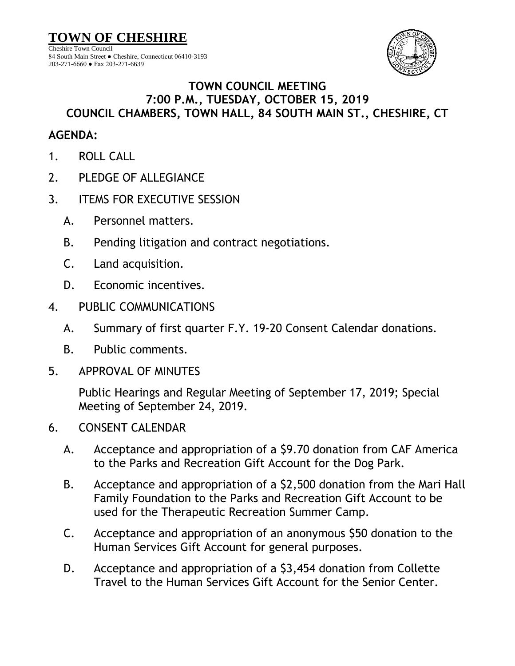**TOWN OF CHESHIRE** Cheshire Town Council 84 South Main Street ● Cheshire, Connecticut 06410-3193 203-271-6660 ● Fax 203-271-6639



## **TOWN COUNCIL MEETING 7:00 P.M., TUESDAY, OCTOBER 15, 2019 COUNCIL CHAMBERS, TOWN HALL, 84 SOUTH MAIN ST., CHESHIRE, CT**

## **AGENDA:**

- 1. ROLL CALL
- 2. PLEDGE OF ALLEGIANCE
- 3. ITEMS FOR EXECUTIVE SESSION
	- A. Personnel matters.
	- B. Pending litigation and contract negotiations.
	- C. Land acquisition.
	- D. Economic incentives.
- 4. PUBLIC COMMUNICATIONS
	- A. Summary of first quarter F.Y. 19-20 Consent Calendar donations.
	- B. Public comments.
- 5. APPROVAL OF MINUTES

Public Hearings and Regular Meeting of September 17, 2019; Special Meeting of September 24, 2019.

- 6. CONSENT CALENDAR
	- A. Acceptance and appropriation of a \$9.70 donation from CAF America to the Parks and Recreation Gift Account for the Dog Park.
	- B. Acceptance and appropriation of a \$2,500 donation from the Mari Hall Family Foundation to the Parks and Recreation Gift Account to be used for the Therapeutic Recreation Summer Camp.
	- C. Acceptance and appropriation of an anonymous \$50 donation to the Human Services Gift Account for general purposes.
	- D. Acceptance and appropriation of a \$3,454 donation from Collette Travel to the Human Services Gift Account for the Senior Center.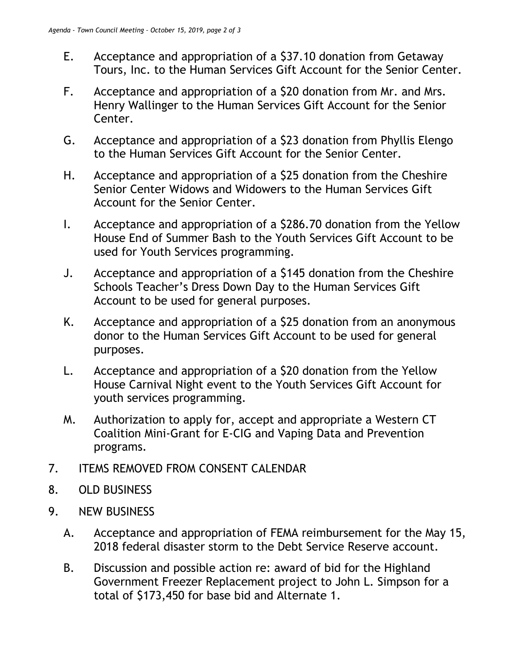- E. Acceptance and appropriation of a \$37.10 donation from Getaway Tours, Inc. to the Human Services Gift Account for the Senior Center.
- F. Acceptance and appropriation of a \$20 donation from Mr. and Mrs. Henry Wallinger to the Human Services Gift Account for the Senior Center.
- G. Acceptance and appropriation of a \$23 donation from Phyllis Elengo to the Human Services Gift Account for the Senior Center.
- H. Acceptance and appropriation of a \$25 donation from the Cheshire Senior Center Widows and Widowers to the Human Services Gift Account for the Senior Center.
- I. Acceptance and appropriation of a \$286.70 donation from the Yellow House End of Summer Bash to the Youth Services Gift Account to be used for Youth Services programming.
- J. Acceptance and appropriation of a \$145 donation from the Cheshire Schools Teacher's Dress Down Day to the Human Services Gift Account to be used for general purposes.
- K. Acceptance and appropriation of a \$25 donation from an anonymous donor to the Human Services Gift Account to be used for general purposes.
- L. Acceptance and appropriation of a \$20 donation from the Yellow House Carnival Night event to the Youth Services Gift Account for youth services programming.
- M. Authorization to apply for, accept and appropriate a Western CT Coalition Mini-Grant for E-CIG and Vaping Data and Prevention programs.
- 7. ITEMS REMOVED FROM CONSENT CALENDAR
- 8. OLD BUSINESS
- 9. NEW BUSINESS
	- A. Acceptance and appropriation of FEMA reimbursement for the May 15, 2018 federal disaster storm to the Debt Service Reserve account.
	- B. Discussion and possible action re: award of bid for the Highland Government Freezer Replacement project to John L. Simpson for a total of \$173,450 for base bid and Alternate 1.